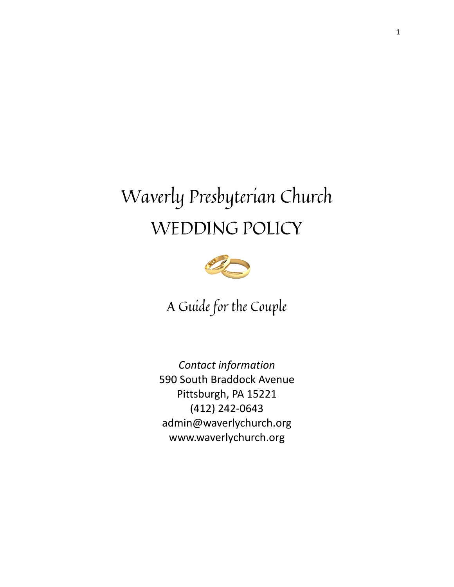# Waverly Presbyterian Church WEDDING POLICY



A Guide for the Couple

*Contact information* 590 South Braddock Avenue Pittsburgh, PA 15221 (412) 242-0643 admin@waverlychurch.org www.waverlychurch.org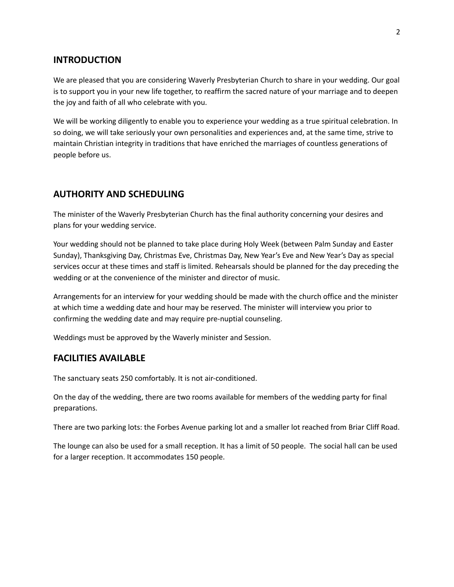#### **INTRODUCTION**

We are pleased that you are considering Waverly Presbyterian Church to share in your wedding. Our goal is to support you in your new life together, to reaffirm the sacred nature of your marriage and to deepen the joy and faith of all who celebrate with you.

We will be working diligently to enable you to experience your wedding as a true spiritual celebration. In so doing, we will take seriously your own personalities and experiences and, at the same time, strive to maintain Christian integrity in traditions that have enriched the marriages of countless generations of people before us.

#### **AUTHORITY AND SCHEDULING**

The minister of the Waverly Presbyterian Church has the final authority concerning your desires and plans for your wedding service.

Your wedding should not be planned to take place during Holy Week (between Palm Sunday and Easter Sunday), Thanksgiving Day, Christmas Eve, Christmas Day, New Year's Eve and New Year's Day as special services occur at these times and staff is limited. Rehearsals should be planned for the day preceding the wedding or at the convenience of the minister and director of music.

Arrangements for an interview for your wedding should be made with the church office and the minister at which time a wedding date and hour may be reserved. The minister will interview you prior to confirming the wedding date and may require pre-nuptial counseling.

Weddings must be approved by the Waverly minister and Session.

#### **FACILITIES AVAILABLE**

The sanctuary seats 250 comfortably. It is not air-conditioned.

On the day of the wedding, there are two rooms available for members of the wedding party for final preparations.

There are two parking lots: the Forbes Avenue parking lot and a smaller lot reached from Briar Cliff Road.

The lounge can also be used for a small reception. It has a limit of 50 people. The social hall can be used for a larger reception. It accommodates 150 people.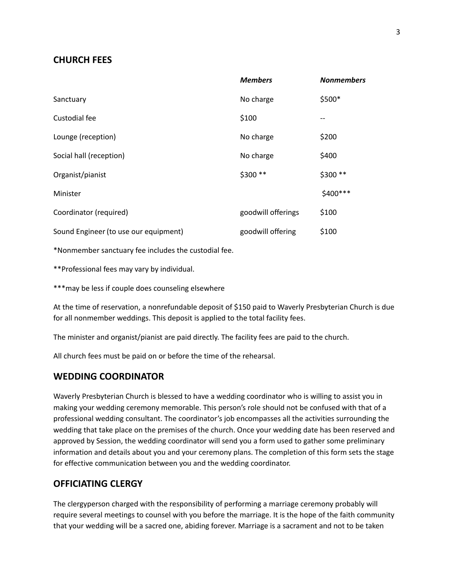#### **CHURCH FEES**

|                                       | <b>Members</b>     | <b>Nonmembers</b> |
|---------------------------------------|--------------------|-------------------|
| Sanctuary                             | No charge          | \$500*            |
| Custodial fee                         | \$100              |                   |
| Lounge (reception)                    | No charge          | \$200             |
| Social hall (reception)               | No charge          | \$400             |
| Organist/pianist                      | \$300 **           | \$300 **          |
| Minister                              |                    | \$400 ***         |
| Coordinator (required)                | goodwill offerings | \$100             |
| Sound Engineer (to use our equipment) | goodwill offering  | \$100             |
|                                       |                    |                   |

\*Nonmember sanctuary fee includes the custodial fee.

\*\*Professional fees may vary by individual.

\*\*\*may be less if couple does counseling elsewhere

At the time of reservation, a nonrefundable deposit of \$150 paid to Waverly Presbyterian Church is due for all nonmember weddings. This deposit is applied to the total facility fees.

The minister and organist/pianist are paid directly. The facility fees are paid to the church.

All church fees must be paid on or before the time of the rehearsal.

## **WEDDING COORDINATOR**

Waverly Presbyterian Church is blessed to have a wedding coordinator who is willing to assist you in making your wedding ceremony memorable. This person's role should not be confused with that of a professional wedding consultant. The coordinator's job encompasses all the activities surrounding the wedding that take place on the premises of the church. Once your wedding date has been reserved and approved by Session, the wedding coordinator will send you a form used to gather some preliminary information and details about you and your ceremony plans. The completion of this form sets the stage for effective communication between you and the wedding coordinator.

## **OFFICIATING CLERGY**

The clergyperson charged with the responsibility of performing a marriage ceremony probably will require several meetings to counsel with you before the marriage. It is the hope of the faith community that your wedding will be a sacred one, abiding forever. Marriage is a sacrament and not to be taken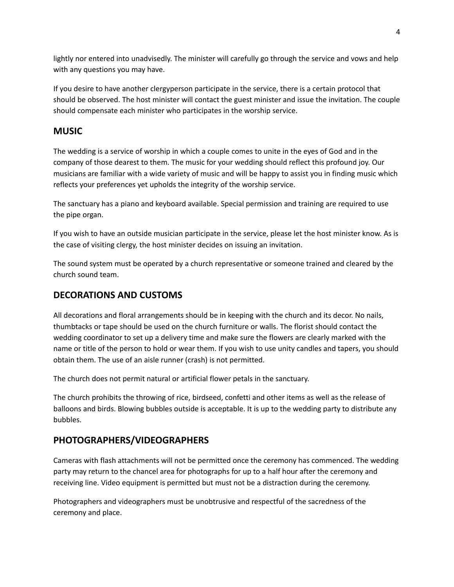lightly nor entered into unadvisedly. The minister will carefully go through the service and vows and help with any questions you may have.

If you desire to have another clergyperson participate in the service, there is a certain protocol that should be observed. The host minister will contact the guest minister and issue the invitation. The couple should compensate each minister who participates in the worship service.

# **MUSIC**

The wedding is a service of worship in which a couple comes to unite in the eyes of God and in the company of those dearest to them. The music for your wedding should reflect this profound joy. Our musicians are familiar with a wide variety of music and will be happy to assist you in finding music which reflects your preferences yet upholds the integrity of the worship service.

The sanctuary has a piano and keyboard available. Special permission and training are required to use the pipe organ.

If you wish to have an outside musician participate in the service, please let the host minister know. As is the case of visiting clergy, the host minister decides on issuing an invitation.

The sound system must be operated by a church representative or someone trained and cleared by the church sound team.

# **DECORATIONS AND CUSTOMS**

All decorations and floral arrangements should be in keeping with the church and its decor. No nails, thumbtacks or tape should be used on the church furniture or walls. The florist should contact the wedding coordinator to set up a delivery time and make sure the flowers are clearly marked with the name or title of the person to hold or wear them. If you wish to use unity candles and tapers, you should obtain them. The use of an aisle runner (crash) is not permitted.

The church does not permit natural or artificial flower petals in the sanctuary.

The church prohibits the throwing of rice, birdseed, confetti and other items as well as the release of balloons and birds. Blowing bubbles outside is acceptable. It is up to the wedding party to distribute any bubbles.

## **PHOTOGRAPHERS/VIDEOGRAPHERS**

Cameras with flash attachments will not be permitted once the ceremony has commenced. The wedding party may return to the chancel area for photographs for up to a half hour after the ceremony and receiving line. Video equipment is permitted but must not be a distraction during the ceremony.

Photographers and videographers must be unobtrusive and respectful of the sacredness of the ceremony and place.